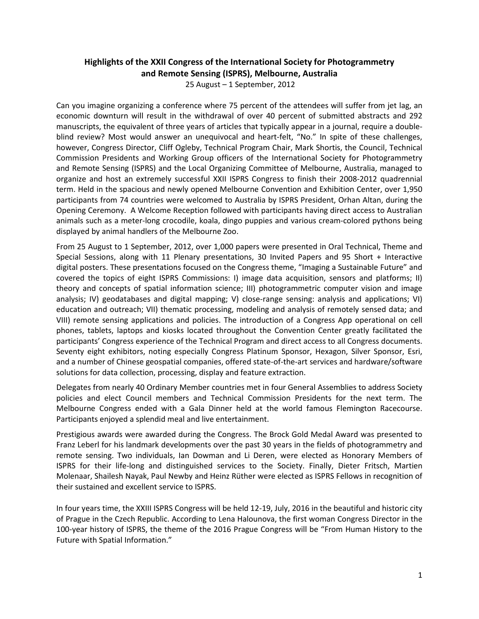## **Highlights of the XXII Congress of the International Society for Photogrammetry and Remote Sensing (ISPRS), Melbourne, Australia**

25 August – 1 September, 2012

Can you imagine organizing a conference where 75 percent of the attendees will suffer from jet lag, an economic downturn will result in the withdrawal of over 40 percent of submitted abstracts and 292 manuscripts, the equivalent of three years of articles that typically appear in a journal, require a doubleblind review? Most would answer an unequivocal and heart-felt, "No." In spite of these challenges, however, Congress Director, Cliff Ogleby, Technical Program Chair, Mark Shortis, the Council, Technical Commission Presidents and Working Group officers of the International Society for Photogrammetry and Remote Sensing (ISPRS) and the Local Organizing Committee of Melbourne, Australia, managed to organize and host an extremely successful XXII ISPRS Congress to finish their 2008-2012 quadrennial term. Held in the spacious and newly opened Melbourne Convention and Exhibition Center, over 1,950 participants from 74 countries were welcomed to Australia by ISPRS President, Orhan Altan, during the Opening Ceremony. A Welcome Reception followed with participants having direct access to Australian animals such as a meter-long crocodile, koala, dingo puppies and various cream-colored pythons being displayed by animal handlers of the Melbourne Zoo.

From 25 August to 1 September, 2012, over 1,000 papers were presented in Oral Technical, Theme and Special Sessions, along with 11 Plenary presentations, 30 Invited Papers and 95 Short + Interactive digital posters. These presentations focused on the Congress theme, "Imaging a Sustainable Future" and covered the topics of eight ISPRS Commissions: I) image data acquisition, sensors and platforms; II) theory and concepts of spatial information science; III) photogrammetric computer vision and image analysis; IV) geodatabases and digital mapping; V) close-range sensing: analysis and applications; VI) education and outreach; VII) thematic processing, modeling and analysis of remotely sensed data; and VIII) remote sensing applications and policies. The introduction of a Congress App operational on cell phones, tablets, laptops and kiosks located throughout the Convention Center greatly facilitated the participants' Congress experience of the Technical Program and direct access to all Congress documents. Seventy eight exhibitors, noting especially Congress Platinum Sponsor, Hexagon, Silver Sponsor, Esri, and a number of Chinese geospatial companies, offered state-of-the-art services and hardware/software solutions for data collection, processing, display and feature extraction.

Delegates from nearly 40 Ordinary Member countries met in four General Assemblies to address Society policies and elect Council members and Technical Commission Presidents for the next term. The Melbourne Congress ended with a Gala Dinner held at the world famous Flemington Racecourse. Participants enjoyed a splendid meal and live entertainment.

Prestigious awards were awarded during the Congress. The Brock Gold Medal Award was presented to Franz Leberl for his landmark developments over the past 30 years in the fields of photogrammetry and remote sensing. Two individuals, Ian Dowman and Li Deren, were elected as Honorary Members of ISPRS for their life-long and distinguished services to the Society. Finally, Dieter Fritsch, Martien Molenaar, Shailesh Nayak, Paul Newby and Heinz Rüther were elected as ISPRS Fellows in recognition of their sustained and excellent service to ISPRS.

In four years time, the XXIII ISPRS Congress will be held 12-19, July, 2016 in the beautiful and historic city of Prague in the Czech Republic. According to Lena Halounova, the first woman Congress Director in the 100-year history of ISPRS, the theme of the 2016 Prague Congress will be "From Human History to the Future with Spatial Information."